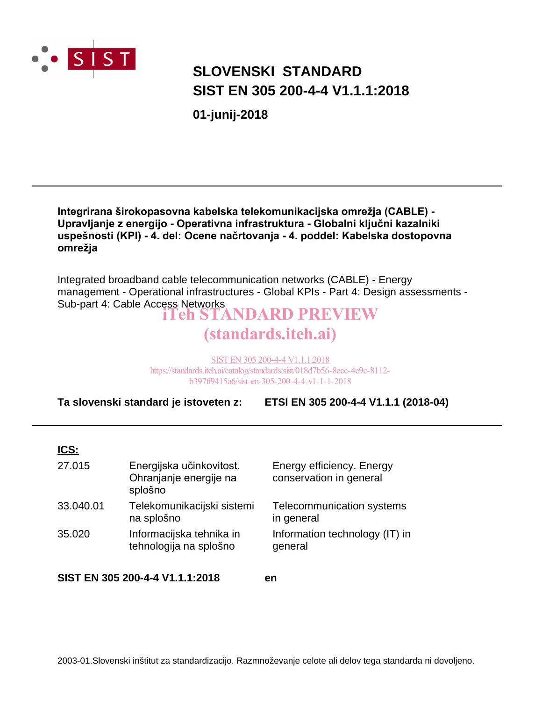

### **SLOVENSKI STANDARD** SIST EN 305 200-4-4 V1.1.1:2018

01-junij-2018

#### Integrirana širokopasovna kabelska telekomunikacijska omrežja (CABLE) -Upravljanje z energijo - Operativna infrastruktura - Globalni ključni kazalniki uspešnosti (KPI) - 4. del: Ocene načrtovanja - 4. poddel: Kabelska dostopovna omrežja

Integrated broadband cable telecommunication networks (CABLE) - Energy management - Operational infrastructures - Global KPIs - Part 4: Design assessments -Sub-part 4: Cable Access Networks<br> **Teh STANDARD PREVIEW** 

## (standards.iteh.ai)

SIST EN 305 200-4-4 V1.1.1:2018 https://standards.iteh.ai/catalog/standards/sist/018d7b56-8ecc-4e9c-8112b397ff9415a6/sist-en-305-200-4-4-y1-1-1-2018

Ta slovenski standard je istoveten z: ETSI EN 305 200-4-4 V1.1.1 (2018-04)

#### ICS:

| 27.015    | Energijska učinkovitost.<br>Ohranjanje energije na<br>splošno | Energy efficiency. Energy<br>conservation in general |
|-----------|---------------------------------------------------------------|------------------------------------------------------|
| 33.040.01 | Telekomunikacijski sistemi<br>na splošno                      | Telecommunication systems<br>in general              |
| 35.020    | Informacijska tehnika in<br>tehnologija na splošno            | Information technology (IT) in<br>general            |

SIST EN 305 200-4-4 V1.1.1:2018

en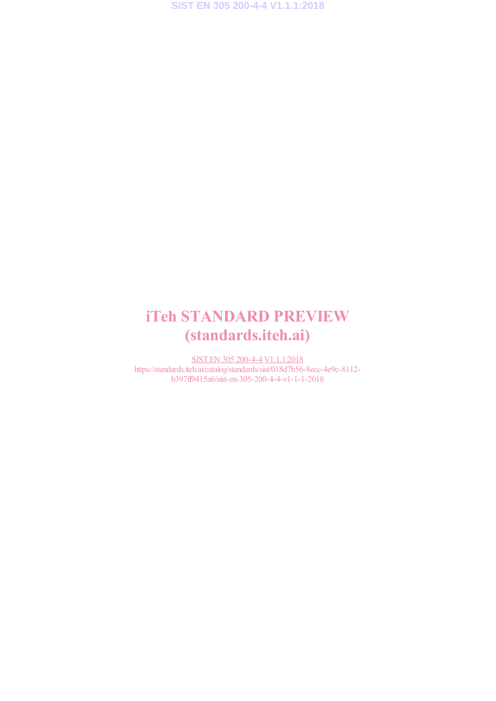### iTeh STANDARD PREVIEW (standards.iteh.ai)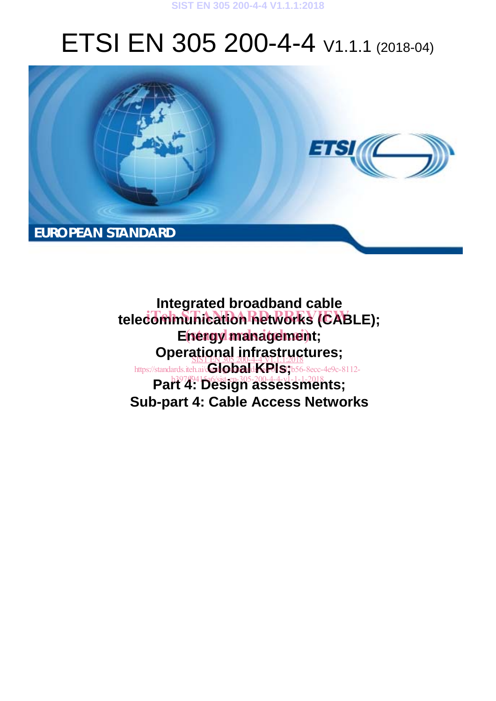#### **SIST EN 305 200-4-4 V1.1.1:2018**

# ETSI EN 305 200-4-4 V1.1.1 (2018-04)



**Integrated broadband cable** telecommunication networks (CABLE); Enengy management; **Operational infrastructures;** https://standards.iteh.ai/**GlobaldKRIS**7b56-8ecc-4e9c-8112-**Part 4: Design assessments; Sub-part 4: Cable Access Networks**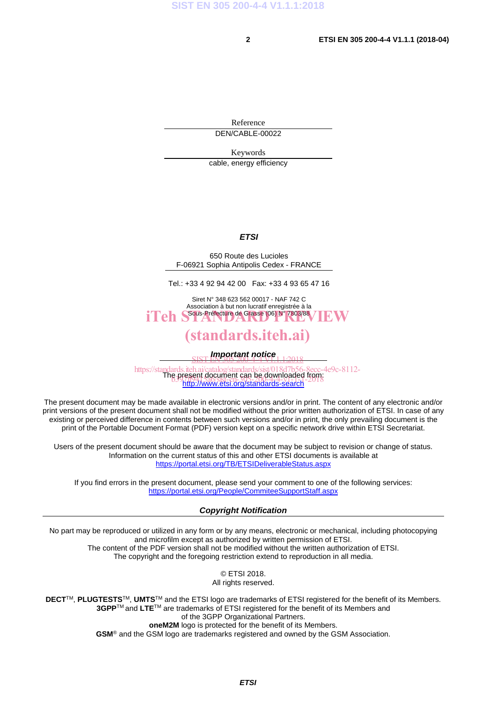Reference DEN/CABLE-00022

Keywords

cable, energy efficiency

#### *ETSI*

650 Route des Lucioles F-06921 Sophia Antipolis Cedex - FRANCE

Tel.: +33 4 92 94 42 00 Fax: +33 4 93 65 47 16

Siret N° 348 623 562 00017 - NAF 742 C Association à but non lucratif enregistrée à la iTeh SSous-Préfecture de Grasse (06) N° 7803/88 / IEW

#### (standards.iteh.ai)

*Important notice*  SIST EN 305 200-4-4 V1.1.1:2018

https://standards.iteh.ai/catalog/standards/sist/018d7b56-8ecc-4e9c-8112-<br>The present document can be downloaded from: http://www.etsi.org/standards-search B397ff83Bfill document can be downloaded itons<br>b397ff9412a6/sist-en-303-201-4-4-v1-1-2018

The present document may be made available in electronic versions and/or in print. The content of any electronic and/or print versions of the present document shall not be modified without the prior written authorization of ETSI. In case of any existing or perceived difference in contents between such versions and/or in print, the only prevailing document is the print of the Portable Document Format (PDF) version kept on a specific network drive within ETSI Secretariat.

Users of the present document should be aware that the document may be subject to revision or change of status. Information on the current status of this and other ETSI documents is available at https://portal.etsi.org/TB/ETSIDeliverableStatus.aspx

If you find errors in the present document, please send your comment to one of the following services: https://portal.etsi.org/People/CommiteeSupportStaff.aspx

#### *Copyright Notification*

No part may be reproduced or utilized in any form or by any means, electronic or mechanical, including photocopying and microfilm except as authorized by written permission of ETSI. The content of the PDF version shall not be modified without the written authorization of ETSI. The copyright and the foregoing restriction extend to reproduction in all media.

> © ETSI 2018. All rights reserved.

**DECT**TM, **PLUGTESTS**TM, **UMTS**TM and the ETSI logo are trademarks of ETSI registered for the benefit of its Members. **3GPP**TM and **LTE**TM are trademarks of ETSI registered for the benefit of its Members and of the 3GPP Organizational Partners. **oneM2M** logo is protected for the benefit of its Members.

**GSM**® and the GSM logo are trademarks registered and owned by the GSM Association.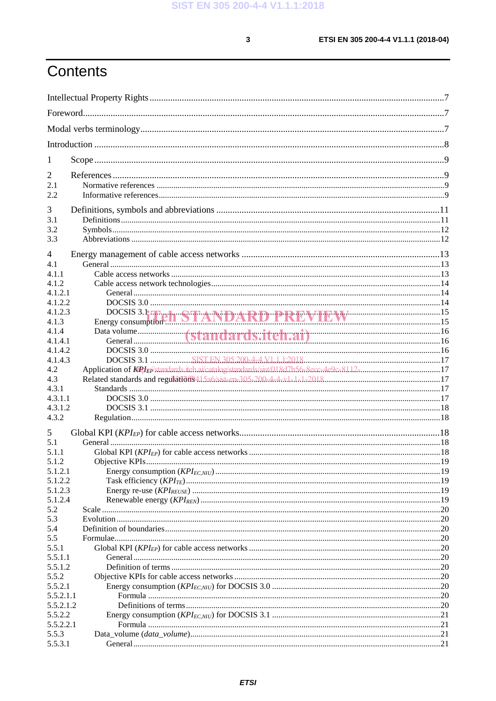$\mathbf{3}$ 

## Contents

| 1                |                                                                                          |  |
|------------------|------------------------------------------------------------------------------------------|--|
| 2                |                                                                                          |  |
| 2.1              |                                                                                          |  |
| 2.2              |                                                                                          |  |
| 3                |                                                                                          |  |
| 3.1              |                                                                                          |  |
| 3.2              |                                                                                          |  |
| 3.3              |                                                                                          |  |
| $\overline{4}$   |                                                                                          |  |
| 4.1              |                                                                                          |  |
| 4.1.1            |                                                                                          |  |
| 4.1.2            |                                                                                          |  |
| 4.1.2.1          |                                                                                          |  |
| 4.1.2.2          |                                                                                          |  |
| 4.1.2.3<br>4.1.3 | DOCSIS 3.1 The <b>STANDARD PREVIEW</b> Examples 15                                       |  |
| 4.1.4            |                                                                                          |  |
| 4.1.4.1          |                                                                                          |  |
| 4.1.4.2          |                                                                                          |  |
| 4.1.4.3          |                                                                                          |  |
| 4.2              | Application of KiPfE/standards.itch.ai/catalog/standards/sist/018d7b56-8ecc-4e9c-8112-17 |  |
| 4.3              |                                                                                          |  |
| 4.3.1            |                                                                                          |  |
| 4.3.1.1          |                                                                                          |  |
| 4.3.1.2          |                                                                                          |  |
| 4.3.2            |                                                                                          |  |
| 5                |                                                                                          |  |
| 5.1              |                                                                                          |  |
| 5.1.1            |                                                                                          |  |
| 5.1.2            | Objective KPIs                                                                           |  |
| 5.1.2.1          |                                                                                          |  |
| 5.1.2.2          |                                                                                          |  |
| 5.1.2.3          |                                                                                          |  |
| 5.1.2.4          |                                                                                          |  |
| 5.2              |                                                                                          |  |
| 5.3              |                                                                                          |  |
| 5.4<br>5.5       |                                                                                          |  |
| 5.5.1            |                                                                                          |  |
| 5.5.1.1          |                                                                                          |  |
| 5.5.1.2          |                                                                                          |  |
| 5.5.2            |                                                                                          |  |
| 5.5.2.1          |                                                                                          |  |
| 5.5.2.1.1        |                                                                                          |  |
| 5.5.2.1.2        |                                                                                          |  |
| 5.5.2.2          |                                                                                          |  |
| 5.5.2.2.1        |                                                                                          |  |
| 5.5.3            |                                                                                          |  |
| 5.5.3.1          |                                                                                          |  |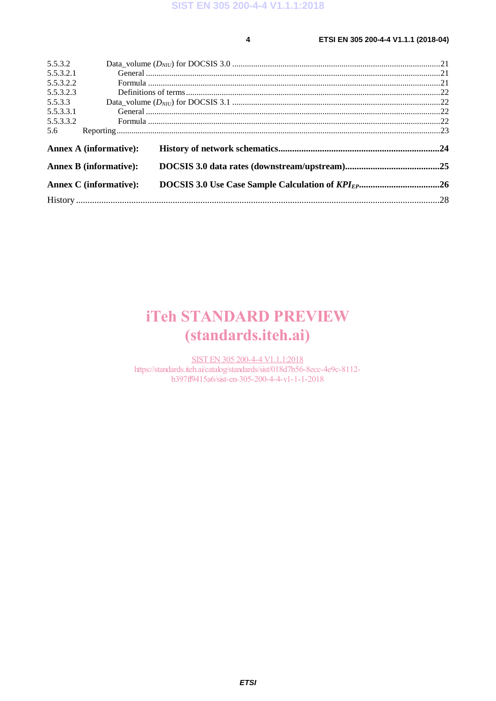$\overline{\mathbf{4}}$ 

#### ETSI EN 305 200-4-4 V1.1.1 (2018-04)

| 5.5.3.2   |                               |  |
|-----------|-------------------------------|--|
| 5.5.3.2.1 |                               |  |
| 5.5.3.2.2 |                               |  |
| 5.5.3.2.3 |                               |  |
| 5.5.3.3   |                               |  |
| 5.5.3.3.1 |                               |  |
| 5.5.3.3.2 |                               |  |
| 5.6       |                               |  |
|           | <b>Annex A (informative):</b> |  |
|           | <b>Annex B (informative):</b> |  |
|           | <b>Annex C</b> (informative): |  |
|           |                               |  |

### **iTeh STANDARD PREVIEW** (standards.iteh.ai)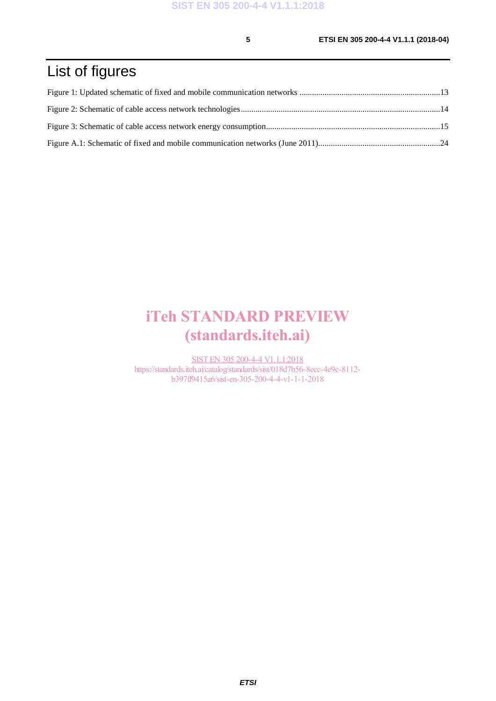### List of figures

### iTeh STANDARD PREVIEW (standards.iteh.ai)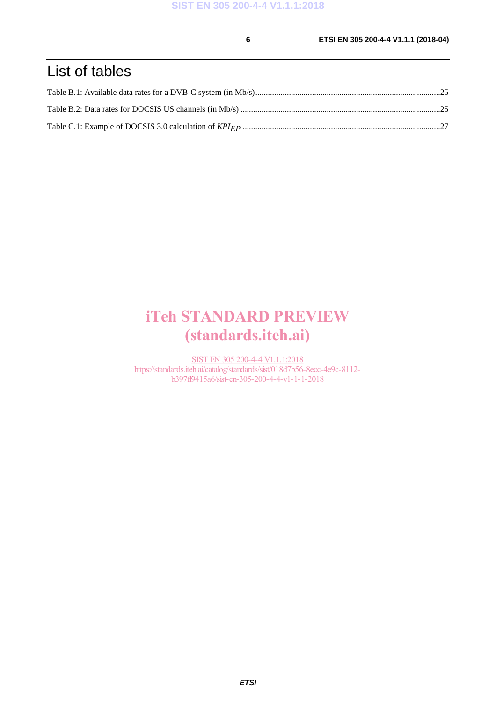### List of tables

### iTeh STANDARD PREVIEW (standards.iteh.ai)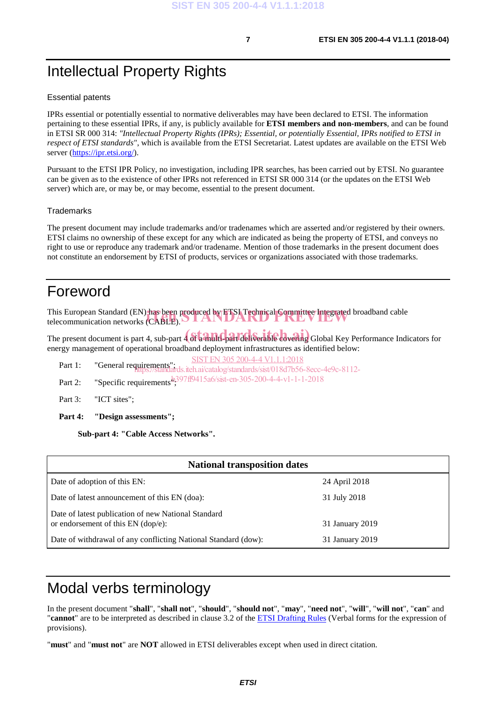### Intellectual Property Rights

#### Essential patents

IPRs essential or potentially essential to normative deliverables may have been declared to ETSI. The information pertaining to these essential IPRs, if any, is publicly available for **ETSI members and non-members**, and can be found in ETSI SR 000 314: *"Intellectual Property Rights (IPRs); Essential, or potentially Essential, IPRs notified to ETSI in respect of ETSI standards"*, which is available from the ETSI Secretariat. Latest updates are available on the ETSI Web server (https://ipr.etsi.org/).

Pursuant to the ETSI IPR Policy, no investigation, including IPR searches, has been carried out by ETSI. No guarantee can be given as to the existence of other IPRs not referenced in ETSI SR 000 314 (or the updates on the ETSI Web server) which are, or may be, or may become, essential to the present document.

#### **Trademarks**

The present document may include trademarks and/or tradenames which are asserted and/or registered by their owners. ETSI claims no ownership of these except for any which are indicated as being the property of ETSI, and conveys no right to use or reproduce any trademark and/or tradename. Mention of those trademarks in the present document does not constitute an endorsement by ETSI of products, services or organizations associated with those trademarks.

#### Foreword

This European Standard (EN) has been produced by ETSI Technical Committee Integrated broadband cable telecommunication networks (CABLE). telecommunication networks (CABLE).

The present document is part 4, sub-part 4 of a multi-part deliverable covering Global Key Performance Indicators for energy management of operational broadband deployment infrastructures as identified below:

SIST EN 305 200-4-4 V1.1.1:2018

- Part 1: "General requirements"; https://standards.iteh.ai/catalog/standards/sist/018d7b56-8ecc-4e9c-8112-
- Part 2: "Specific requirements<sup>b</sup>, 397ff9415a6/sist-en-305-200-4-4-v1-1-1-2018
- Part 3: "ICT sites";
- **Part 4: "Design assessments";**

**Sub-part 4: "Cable Access Networks".** 

| <b>National transposition dates</b>                                                         |                 |
|---------------------------------------------------------------------------------------------|-----------------|
| Date of adoption of this EN:                                                                | 24 April 2018   |
| Date of latest announcement of this EN (doa):                                               | 31 July 2018    |
| Date of latest publication of new National Standard<br>or endorsement of this $EN$ (dop/e): | 31 January 2019 |
| Date of withdrawal of any conflicting National Standard (dow):                              | 31 January 2019 |

### Modal verbs terminology

In the present document "**shall**", "**shall not**", "**should**", "**should not**", "**may**", "**need not**", "**will**", "**will not**", "**can**" and "**cannot**" are to be interpreted as described in clause 3.2 of the ETSI Drafting Rules (Verbal forms for the expression of provisions).

"**must**" and "**must not**" are **NOT** allowed in ETSI deliverables except when used in direct citation.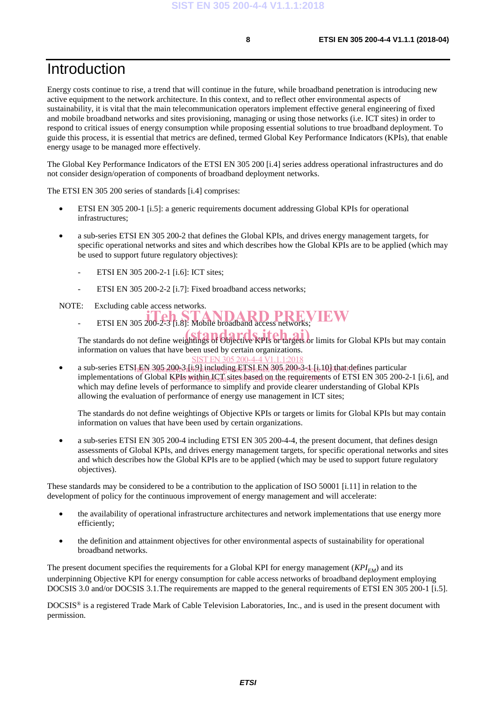### Introduction

Energy costs continue to rise, a trend that will continue in the future, while broadband penetration is introducing new active equipment to the network architecture. In this context, and to reflect other environmental aspects of sustainability, it is vital that the main telecommunication operators implement effective general engineering of fixed and mobile broadband networks and sites provisioning, managing or using those networks (i.e. ICT sites) in order to respond to critical issues of energy consumption while proposing essential solutions to true broadband deployment. To guide this process, it is essential that metrics are defined, termed Global Key Performance Indicators (KPIs), that enable energy usage to be managed more effectively.

The Global Key Performance Indicators of the ETSI EN 305 200 [i.4] series address operational infrastructures and do not consider design/operation of components of broadband deployment networks.

The ETSI EN 305 200 series of standards [i.4] comprises:

- ETSI EN 305 200-1 [i.5]: a generic requirements document addressing Global KPIs for operational infrastructures;
- a sub-series ETSI EN 305 200-2 that defines the Global KPIs, and drives energy management targets, for specific operational networks and sites and which describes how the Global KPIs are to be applied (which may be used to support future regulatory objectives):
	- ETSI EN 305 200-2-1 [i.6]: ICT sites;
	- ETSI EN 305 200-2-2 [i.7]: Fixed broadband access networks;
- NOTE: Excluding cable access networks.
	- ETSI EN 305 200-2-3 [i.8]: Mobile broadband access networks;

The standards do not define weightings of Objective KPIs or targets or limits for Global KPIs but may contain information on values that have been used by certain organizations.

• a sub-series ETSI EN 305 2005 itel line huding ETSI EN 305 2005 3-1 li 10 chat defines particular implementations of Global KPIs within ICT sites based on the requirements of ETSI EN 305 200-2-1 [i.6], and which may define levels of performance to simplify and provide clearer understanding of Global KPIs allowing the evaluation of performance of energy use management in ICT sites; SIST EN 305 200-4-4 V1.1.1:2018

The standards do not define weightings of Objective KPIs or targets or limits for Global KPIs but may contain information on values that have been used by certain organizations.

• a sub-series ETSI EN 305 200-4 including ETSI EN 305 200-4-4, the present document, that defines design assessments of Global KPIs, and drives energy management targets, for specific operational networks and sites and which describes how the Global KPIs are to be applied (which may be used to support future regulatory objectives).

These standards may be considered to be a contribution to the application of ISO 50001 [i.11] in relation to the development of policy for the continuous improvement of energy management and will accelerate:

- the availability of operational infrastructure architectures and network implementations that use energy more efficiently;
- the definition and attainment objectives for other environmental aspects of sustainability for operational broadband networks.

The present document specifies the requirements for a Global KPI for energy management (*KPI<sub>EM</sub>*) and its underpinning Objective KPI for energy consumption for cable access networks of broadband deployment employing DOCSIS 3.0 and/or DOCSIS 3.1.The requirements are mapped to the general requirements of ETSI EN 305 200-1 [i.5].

DOCSIS® is a registered Trade Mark of Cable Television Laboratories, Inc., and is used in the present document with permission.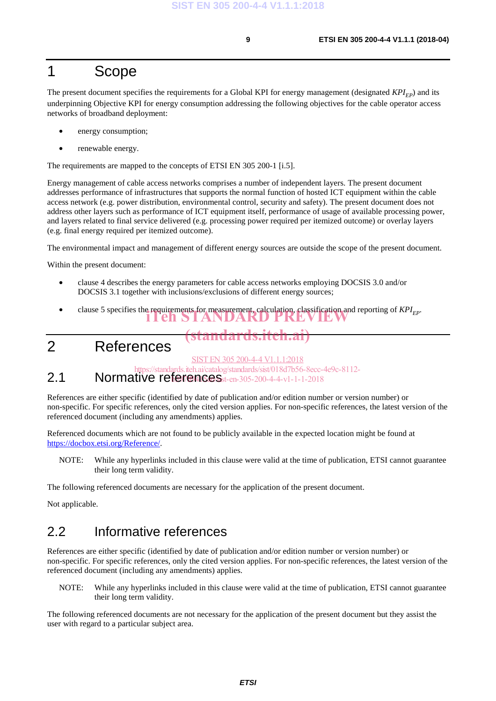#### 1 Scope

The present document specifies the requirements for a Global KPI for energy management (designated  $KPI_{EP}$ ) and its underpinning Objective KPI for energy consumption addressing the following objectives for the cable operator access networks of broadband deployment:

- energy consumption;
- renewable energy.

The requirements are mapped to the concepts of ETSI EN 305 200-1 [i.5].

Energy management of cable access networks comprises a number of independent layers. The present document addresses performance of infrastructures that supports the normal function of hosted ICT equipment within the cable access network (e.g. power distribution, environmental control, security and safety). The present document does not address other layers such as performance of ICT equipment itself, performance of usage of available processing power, and layers related to final service delivered (e.g. processing power required per itemized outcome) or overlay layers (e.g. final energy required per itemized outcome).

The environmental impact and management of different energy sources are outside the scope of the present document.

Within the present document:

- clause 4 describes the energy parameters for cable access networks employing DOCSIS 3.0 and/or DOCSIS 3.1 together with inclusions/exclusions of different energy sources;
- clause 5 specifies the requirements for measurement, calculation, classification and reporting of *KPI<sub>EP</sub>*. iTeh STANDARD PREVIEW
- 2 References

SIST EN 305 200-4-4 V1.1.1:2018

(standards.iteh.ai)

https://standards.iteh.ai/catalog/standards/sist/018d7b56-8ecc-4e9c-8112-

#### **2.1** Normative references $s_{st-en-305-200-44-v1-1-1-2018}$

References are either specific (identified by date of publication and/or edition number or version number) or non-specific. For specific references, only the cited version applies. For non-specific references, the latest version of the referenced document (including any amendments) applies.

Referenced documents which are not found to be publicly available in the expected location might be found at https://docbox.etsi.org/Reference/.

NOTE: While any hyperlinks included in this clause were valid at the time of publication, ETSI cannot guarantee their long term validity.

The following referenced documents are necessary for the application of the present document.

Not applicable.

#### 2.2 Informative references

References are either specific (identified by date of publication and/or edition number or version number) or non-specific. For specific references, only the cited version applies. For non-specific references, the latest version of the referenced document (including any amendments) applies.

NOTE: While any hyperlinks included in this clause were valid at the time of publication, ETSI cannot guarantee their long term validity.

The following referenced documents are not necessary for the application of the present document but they assist the user with regard to a particular subject area.